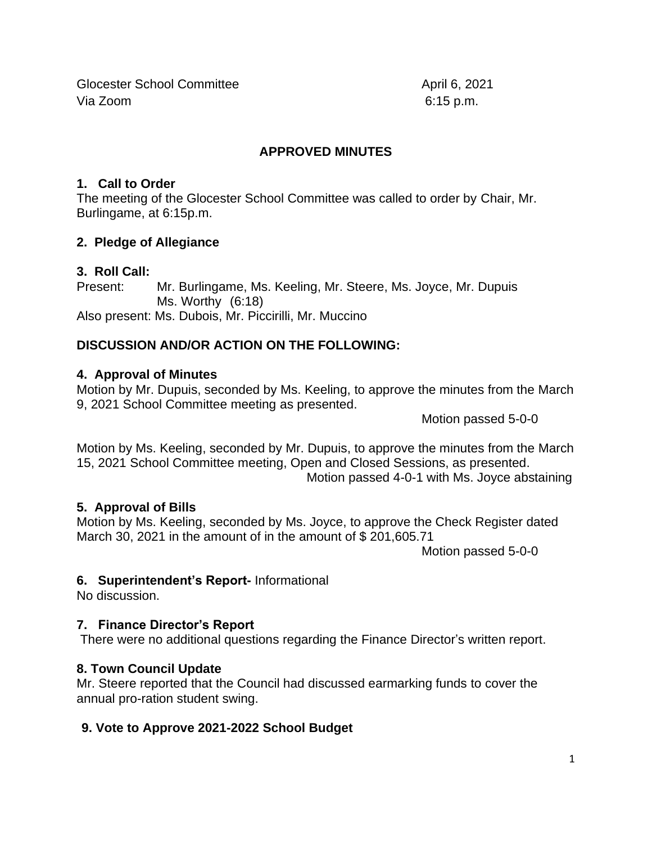Glocester School Committee April 6, 2021 Via Zoom 6:15 p.m.

## **APPROVED MINUTES**

### **1. Call to Order**

The meeting of the Glocester School Committee was called to order by Chair, Mr. Burlingame, at 6:15p.m.

## **2. Pledge of Allegiance**

## **3. Roll Call:**

Present: Mr. Burlingame, Ms. Keeling, Mr. Steere, Ms. Joyce, Mr. Dupuis Ms. Worthy (6:18) Also present: Ms. Dubois, Mr. Piccirilli, Mr. Muccino

# **DISCUSSION AND/OR ACTION ON THE FOLLOWING:**

## **4. Approval of Minutes**

Motion by Mr. Dupuis, seconded by Ms. Keeling, to approve the minutes from the March 9, 2021 School Committee meeting as presented.

Motion passed 5-0-0

Motion by Ms. Keeling, seconded by Mr. Dupuis, to approve the minutes from the March 15, 2021 School Committee meeting, Open and Closed Sessions, as presented. Motion passed 4-0-1 with Ms. Joyce abstaining

#### **5. Approval of Bills**

Motion by Ms. Keeling, seconded by Ms. Joyce, to approve the Check Register dated March 30, 2021 in the amount of in the amount of \$201,605.71

Motion passed 5-0-0

# **6. Superintendent's Report-** Informational

No discussion.

# **7. Finance Director's Report**

There were no additional questions regarding the Finance Director's written report.

#### **8. Town Council Update**

Mr. Steere reported that the Council had discussed earmarking funds to cover the annual pro-ration student swing.

# **9. Vote to Approve 2021-2022 School Budget**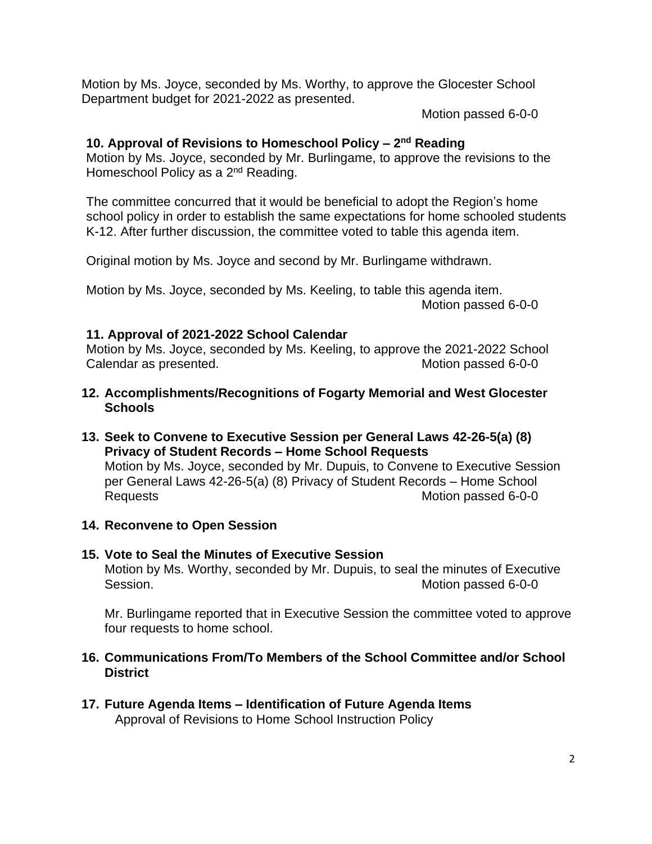Motion by Ms. Joyce, seconded by Ms. Worthy, to approve the Glocester School Department budget for 2021-2022 as presented.

Motion passed 6-0-0

#### **10. Approval of Revisions to Homeschool Policy – 2 nd Reading**

Motion by Ms. Joyce, seconded by Mr. Burlingame, to approve the revisions to the Homeschool Policy as a 2<sup>nd</sup> Reading.

The committee concurred that it would be beneficial to adopt the Region's home school policy in order to establish the same expectations for home schooled students K-12. After further discussion, the committee voted to table this agenda item.

Original motion by Ms. Joyce and second by Mr. Burlingame withdrawn.

Motion by Ms. Joyce, seconded by Ms. Keeling, to table this agenda item. Motion passed 6-0-0

#### **11. Approval of 2021-2022 School Calendar**

Motion by Ms. Joyce, seconded by Ms. Keeling, to approve the 2021-2022 School Calendar as presented. The contract of the Motion passed 6-0-0

- **12. Accomplishments/Recognitions of Fogarty Memorial and West Glocester Schools**
- **13. Seek to Convene to Executive Session per General Laws 42-26-5(a) (8) Privacy of Student Records – Home School Requests** Motion by Ms. Joyce, seconded by Mr. Dupuis, to Convene to Executive Session per General Laws 42-26-5(a) (8) Privacy of Student Records – Home School Requests Motion passed 6-0-0
- **14. Reconvene to Open Session**
- **15. Vote to Seal the Minutes of Executive Session** Motion by Ms. Worthy, seconded by Mr. Dupuis, to seal the minutes of Executive Session. Motion passed 6-0-0

Mr. Burlingame reported that in Executive Session the committee voted to approve four requests to home school.

## **16. Communications From/To Members of the School Committee and/or School District**

**17. Future Agenda Items – Identification of Future Agenda Items**  Approval of Revisions to Home School Instruction Policy